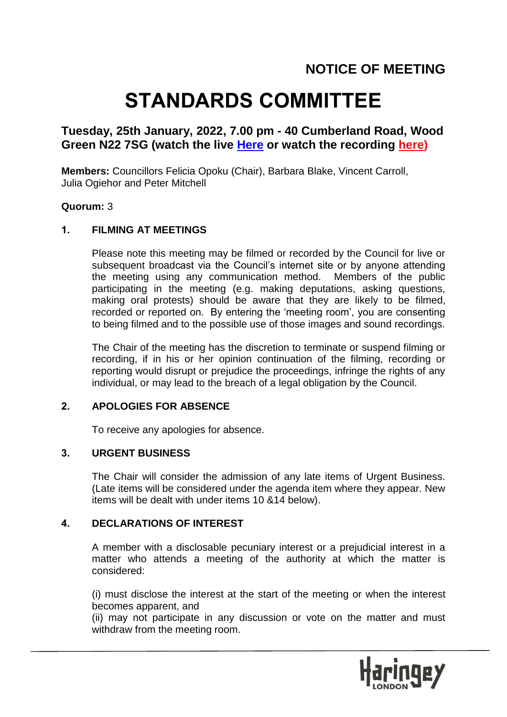# **STANDARDS COMMITTEE**

# **Tuesday, 25th January, 2022, 7.00 pm - 40 Cumberland Road, Wood Green N22 7SG (watch the live [Here](https://teams.microsoft.com/l/meetup-join/19%3ameeting_MWU5YmZmOGMtYzZhYi00ODU3LWE1YzItNDljYWI5MjUyOTRm%40thread.v2/0?context=%7b%22Tid%22%3a%226ddfa760-8cd5-44a8-8e48-d8ca487731c3%22%2c%22Oid%22%3a%2223a26c29-9165-4501-876b-873e129c6319%22%7d) or watch the recording [here\)](https://www.youtube.com/playlist?list=PL_DSjoFpWl8tSPZp3XSVAEhv-gWr-6Vzd)**

**Members:** Councillors Felicia Opoku (Chair), Barbara Blake, Vincent Carroll, Julia Ogiehor and Peter Mitchell

## **Quorum:** 3

#### **1. FILMING AT MEETINGS**

Please note this meeting may be filmed or recorded by the Council for live or subsequent broadcast via the Council's internet site or by anyone attending the meeting using any communication method. Members of the public participating in the meeting (e.g. making deputations, asking questions, making oral protests) should be aware that they are likely to be filmed, recorded or reported on. By entering the 'meeting room', you are consenting to being filmed and to the possible use of those images and sound recordings.

The Chair of the meeting has the discretion to terminate or suspend filming or recording, if in his or her opinion continuation of the filming, recording or reporting would disrupt or prejudice the proceedings, infringe the rights of any individual, or may lead to the breach of a legal obligation by the Council.

# **2. APOLOGIES FOR ABSENCE**

To receive any apologies for absence.

# **3. URGENT BUSINESS**

The Chair will consider the admission of any late items of Urgent Business. (Late items will be considered under the agenda item where they appear. New items will be dealt with under items 10 &14 below).

## **4. DECLARATIONS OF INTEREST**

A member with a disclosable pecuniary interest or a prejudicial interest in a matter who attends a meeting of the authority at which the matter is considered:

(i) must disclose the interest at the start of the meeting or when the interest becomes apparent, and

(ii) may not participate in any discussion or vote on the matter and must withdraw from the meeting room.

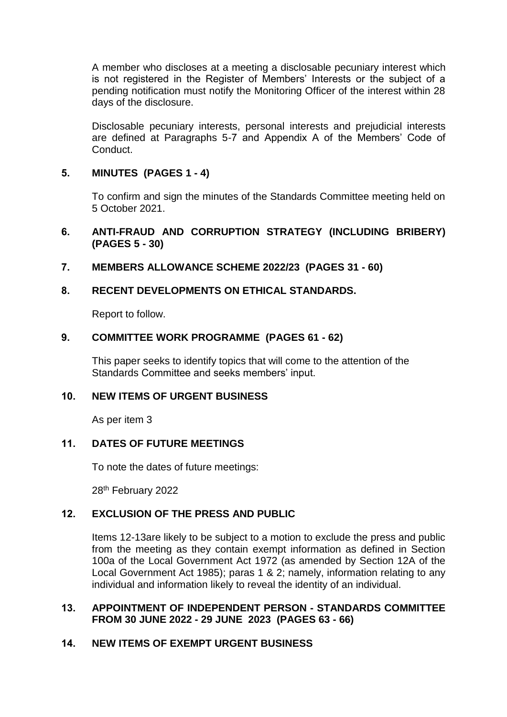A member who discloses at a meeting a disclosable pecuniary interest which is not registered in the Register of Members' Interests or the subject of a pending notification must notify the Monitoring Officer of the interest within 28 days of the disclosure.

Disclosable pecuniary interests, personal interests and prejudicial interests are defined at Paragraphs 5-7 and Appendix A of the Members' Code of Conduct.

# **5. MINUTES (PAGES 1 - 4)**

To confirm and sign the minutes of the Standards Committee meeting held on 5 October 2021.

# **6. ANTI-FRAUD AND CORRUPTION STRATEGY (INCLUDING BRIBERY) (PAGES 5 - 30)**

**7. MEMBERS ALLOWANCE SCHEME 2022/23 (PAGES 31 - 60)**

# **8. RECENT DEVELOPMENTS ON ETHICAL STANDARDS.**

Report to follow.

## **9. COMMITTEE WORK PROGRAMME (PAGES 61 - 62)**

This paper seeks to identify topics that will come to the attention of the Standards Committee and seeks members' input.

# **10. NEW ITEMS OF URGENT BUSINESS**

As per item 3

## **11. DATES OF FUTURE MEETINGS**

To note the dates of future meetings:

28th February 2022

# **12. EXCLUSION OF THE PRESS AND PUBLIC**

Items 12-13are likely to be subject to a motion to exclude the press and public from the meeting as they contain exempt information as defined in Section 100a of the Local Government Act 1972 (as amended by Section 12A of the Local Government Act 1985); paras 1 & 2; namely, information relating to any individual and information likely to reveal the identity of an individual.

## **13. APPOINTMENT OF INDEPENDENT PERSON - STANDARDS COMMITTEE FROM 30 JUNE 2022 - 29 JUNE 2023 (PAGES 63 - 66)**

## **14. NEW ITEMS OF EXEMPT URGENT BUSINESS**